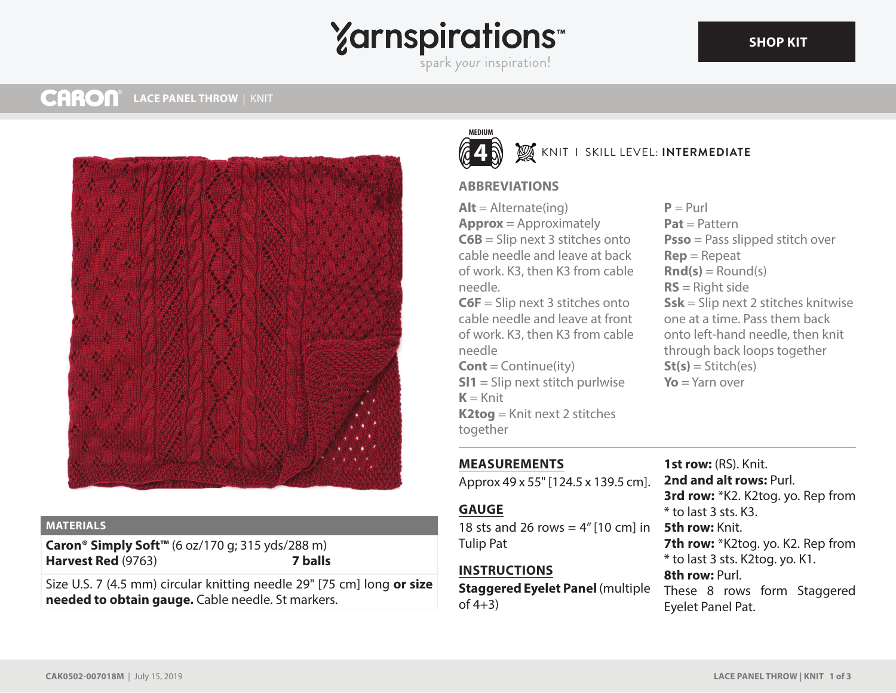# **Yarnspirations**

spark your inspiration!

#### **CARON® LACE PANEL THROW** | KNIT



#### **MATERIALS**

**Caron® Simply Soft™** (6 oz/170 g; 315 yds/288 m) **Harvest Red** (9763) **7 balls**

Size U.S. 7 (4.5 mm) circular knitting needle 29" [75 cm] long **or size needed to obtain gauge.** Cable needle. St markers.



## KNIT I SKILL LEVEL: **INTERMEDIATE**

### **ABBREVIATIONS**

 $Alt =$  Alternate(ing) **Approx** = Approximately **C6B** = Slip next 3 stitches onto cable needle and leave at back of work. K3, then K3 from cable needle.

**C6F** = Slip next 3 stitches onto cable needle and leave at front of work. K3, then K3 from cable needle

**Cont** = Continue(ity) **Sl1** = Slip next stitch purlwise  $K =$ Knit **K2tog** = Knit next 2 stitches together

 $P = P_{11}r$ **Pat** = Pattern **Psso** = Pass slipped stitch over **Rep** = Repeat  $\text{Rnd}(s) = \text{Round}(s)$ **RS** = Right side **Ssk** = Slip next 2 stitches knitwise one at a time. Pass them back onto left-hand needle, then knit through back loops together  $St(s) = Stitch(es)$ **Yo** = Yarn over

## **MEASUREMENTS**

Approx 49 x 55" [124.5 x 139.5 cm].

### **GAUGE**

18 sts and 26 rows = 4" [10 cm] in **5th row:** Knit. Tulip Pat

### **INSTRUCTIONS**

of  $4+3$ )

**Staggered Eyelet Panel** (multiple These 8 rows form Staggered **1st row:** (RS). Knit. **2nd and alt rows:** Purl. **3rd row:** \*K2. K2tog. yo. Rep from  $*$  to last 3 sts. K3. 7th row: \*K2tog. yo. K2. Rep from \* to last 3 sts. K2tog. yo. K1. **8th row:** Purl. Eyelet Panel Pat.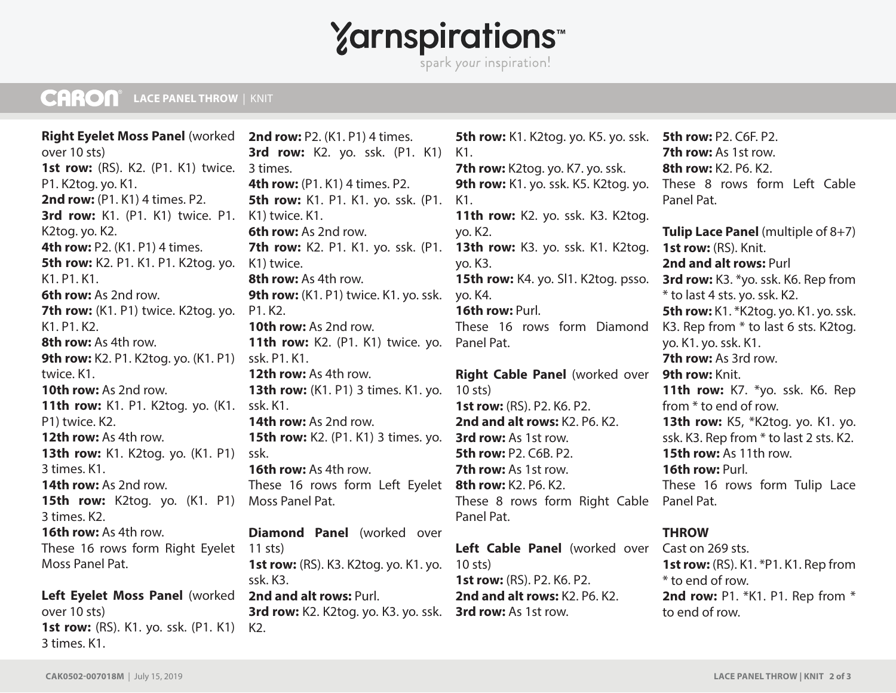## **Yarnspirations**

spark your inspiration!

#### **CARON® LACE PANEL THROW** | KNIT

**Right Eyelet Moss Panel** (worked over 10 sts) **1st row:** (RS), K2. (P1. K1) twice. P1. K2tog. yo. K1. **2nd row:** (P1. K1) 4 times. P2. **3rd row:** K1. (P1. K1) twice. P1. K2tog. yo. K2. **4th row:** P2. (K1. P1) 4 times. **5th row:** K2. P1. K1. P1. K2tog. yo. K1. P1. K1. **6th row:** As 2nd row. **7th row:** (K1. P1) twice. K2tog. yo. K1. P1. K2. **8th row:** As 4th row. **9th row:** K2. P1. K2tog. yo. (K1. P1) twice. K1. **10th row:** As 2nd row. **11th row:** K1. P1. K2tog. yo. (K1. ssk. K1. P1) twice. K2. **12th row:** As 4th row. **13th row:** K1. K2tog. yo. (K1. P1) ssk. 3 times. K1. **14th row:** As 2nd row. **15th row:** K2tog. yo. (K1. P1) 3 times. K2. **16th row:** As 4th row. These 16 rows form Right Eyelet 11 sts) Moss Panel Pat. **Left Eyelet Moss Panel** (worked over 10 sts) **1st row:** (RS). K1. yo. ssk. (P1. K1) K2.

**2nd row:** P2. (K1. P1) 4 times. **3rd row:** K2. yo. ssk. (P1. K1) 3 times. **4th row:** (P1. K1) 4 times. P2. **5th row:** K1. P1. K1. yo. ssk. (P1. K1) twice. K1. **6th row:** As 2nd row. K1) twice. **8th row:** As 4th row. **9th row:** (K1. P1) twice. K1. yo. ssk. yo. K4. P1. K2. **10th row:** As 2nd row. **11th row:** K2. (P1. K1) twice. yo. Panel Pat. ssk. P1. K1. **12th row:** As 4th row. **13th row:** (K1. P1) 3 times. K1. yo. **14th row:** As 2nd row. **15th row:** K2. (P1. K1) 3 times. yo. **16th row:** As 4th row. These 16 rows form Left Eyelet **8th row:** K2. P6. K2. Moss Panel Pat. **Diamond Panel** (worked over **1st row:** (RS). K3. K2tog. yo. K1. yo. 10 sts) ssk. K3. **2nd and alt rows:** Purl. **3rd row:** K2. K2tog. yo. K3. yo. ssk. **3rd row:** As 1st row.

**7th row:** K2. P1. K1. yo. ssk. (P1. **13th row:** K3. yo. ssk. K1. K2tog. **5th row:** K1. K2tog. yo. K5. yo. ssk. K1. **7th row:** K2tog. yo. K7. yo. ssk. 9th row: K1. yo. ssk. K5. K2tog. yo. These 8 rows form Left Cable K1. **11th row:** K2. yo. ssk. K3. K2tog. yo. K2. yo. K3. **15th row:** K4. yo. Sl1. K2tog. psso. **16th row:** Purl. These 16 rows form Diamond **Right Cable Panel** (worked over 10 sts) **1st row:** (RS). P2. K6. P2. **2nd and alt rows:** K2. P6. K2. **3rd row:** As 1st row. **5th row:** P2. C6B. P2. **7th row:** As 1st row. These 8 rows form Right Cable Panel Pat. Panel Pat.

> Left Cable Panel (worked over Cast on 269 sts. **1st row:** (RS). P2. K6. P2. **2nd and alt rows:** K2. P6. K2.

**5th row:** P2. C6F. P2. **7th row:** As 1st row. **8th row:** K2. P6. K2. Panel Pat. **Tulip Lace Panel** (multiple of 8+7) **1st row:** (RS). Knit. **2nd and alt rows:** Purl **3rd row:** K3. \*yo. ssk. K6. Rep from \* to last 4 sts. yo. ssk. K2. **5th row:** K1. \*K2tog. yo. K1. yo. ssk. K3. Rep from \* to last 6 sts. K2tog. yo. K1. yo. ssk. K1. **7th row:** As 3rd row. **9th row:** Knit. **11th row:** K7. \*yo. ssk. K6. Rep from \* to end of row. **13th row:** K5, \*K2tog. yo. K1. yo. ssk. K3. Rep from \* to last 2 sts. K2. **15th row:** As 11th row. **16th row:** Purl. These 16 rows form Tulip Lace

#### **THROW**

**1st row:** (RS). K1. \*P1. K1. Rep from \* to end of row. **2nd row:** P1. \*K1. P1. Rep from \* to end of row.

3 times. K1.